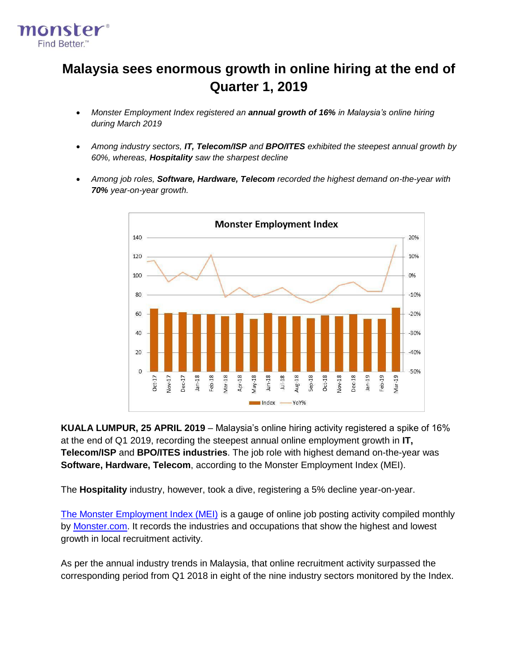

# **Malaysia sees enormous growth in online hiring at the end of Quarter 1, 2019**

- *Monster Employment Index registered an annual growth of 16% in Malaysia's online hiring during March 2019*
- *Among industry sectors, IT, Telecom/ISP and BPO/ITES exhibited the steepest annual growth by 60%, whereas, Hospitality saw the sharpest decline*
- *Among job roles, Software, Hardware, Telecom recorded the highest demand on-the-year with 70% year-on-year growth.*



**KUALA LUMPUR, 25 APRIL 2019** – Malaysia's online hiring activity registered a spike of 16% at the end of Q1 2019, recording the steepest annual online employment growth in **IT, Telecom/ISP** and **BPO/ITES industries**. The job role with highest demand on-the-year was **Software, Hardware, Telecom**, according to the Monster Employment Index (MEI).

The **Hospitality** industry, however, took a dive, registering a 5% decline year-on-year.

[The Monster Employment Index \(MEI\)](http://www.monster.com.my/employment-index/) is a gauge of online job posting activity compiled monthly b[y](http://www.monster.com.my/) [Monster.com.](http://www.monster.com.my/) It records the industries and occupations that show the highest and lowest growth in local recruitment activity.

As per the annual industry trends in Malaysia, that online recruitment activity surpassed the corresponding period from Q1 2018 in eight of the nine industry sectors monitored by the Index.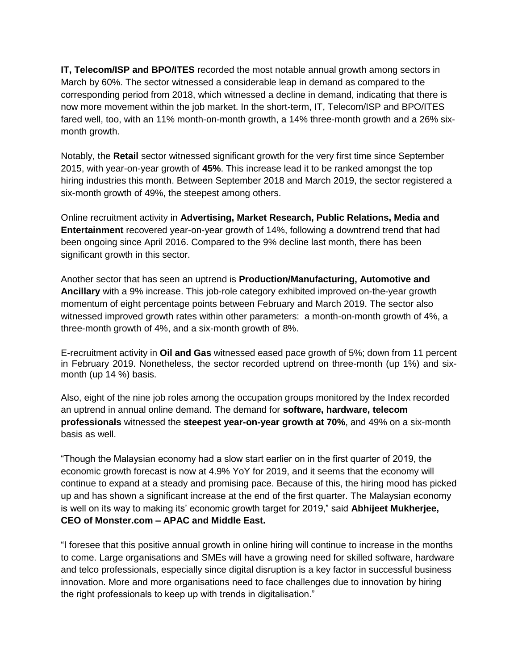**IT, Telecom/ISP and BPO/ITES** recorded the most notable annual growth among sectors in March by 60%. The sector witnessed a considerable leap in demand as compared to the corresponding period from 2018, which witnessed a decline in demand, indicating that there is now more movement within the job market. In the short-term, IT, Telecom/ISP and BPO/ITES fared well, too, with an 11% month-on-month growth, a 14% three-month growth and a 26% sixmonth growth.

Notably, the **Retail** sector witnessed significant growth for the very first time since September 2015, with year-on-year growth of **45%**. This increase lead it to be ranked amongst the top hiring industries this month. Between September 2018 and March 2019, the sector registered a six-month growth of 49%, the steepest among others.

Online recruitment activity in **Advertising, Market Research, Public Relations, Media and Entertainment** recovered year-on-year growth of 14%, following a downtrend trend that had been ongoing since April 2016. Compared to the 9% decline last month, there has been significant growth in this sector.

Another sector that has seen an uptrend is **Production/Manufacturing, Automotive and Ancillary** with a 9% increase. This job-role category exhibited improved on-the-year growth momentum of eight percentage points between February and March 2019. The sector also witnessed improved growth rates within other parameters: a month-on-month growth of 4%, a three-month growth of 4%, and a six-month growth of 8%.

E-recruitment activity in **Oil and Gas** witnessed eased pace growth of 5%; down from 11 percent in February 2019. Nonetheless, the sector recorded uptrend on three-month (up 1%) and sixmonth (up 14 %) basis.

Also, eight of the nine job roles among the occupation groups monitored by the Index recorded an uptrend in annual online demand. The demand for **software, hardware, telecom professionals** witnessed the **steepest year-on-year growth at 70%**, and 49% on a six-month basis as well.

"Though the Malaysian economy had a slow start earlier on in the first quarter of 2019, the economic growth forecast is now at 4.9% YoY for 2019, and it seems that the economy will continue to expand at a steady and promising pace. Because of this, the hiring mood has picked up and has shown a significant increase at the end of the first quarter. The Malaysian economy is well on its way to making its' economic growth target for 2019," said **Abhijeet Mukherjee, CEO of Monster.com – APAC and Middle East.**

"I foresee that this positive annual growth in online hiring will continue to increase in the months to come. Large organisations and SMEs will have a growing need for skilled software, hardware and telco professionals, especially since digital disruption is a key factor in successful business innovation. More and more organisations need to face challenges due to innovation by hiring the right professionals to keep up with trends in digitalisation."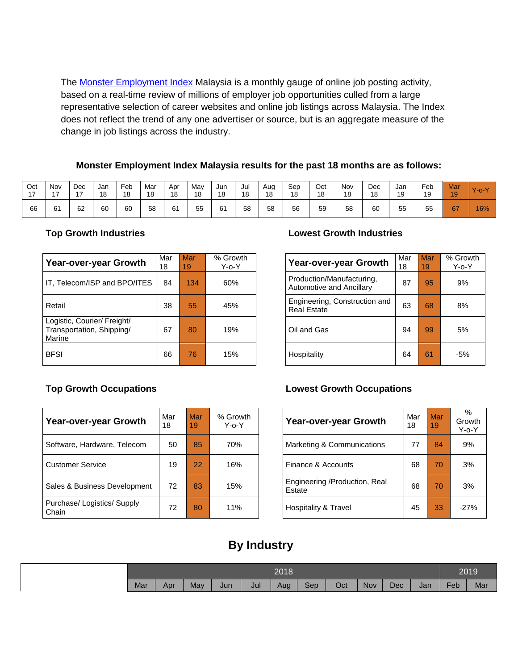Th[e](http://www.monster.com.my/employment-index/) **[Monster Employment Index](http://www.monster.com.my/employment-index/)** Malaysia is a monthly gauge of online job posting activity, based on a real-time review of millions of employer job opportunities culled from a large representative selection of career websites and online job listings across Malaysia. The Index does not reflect the trend of any one advertiser or source, but is an aggregate measure of the change in job listings across the industry.

## **Monster Employment Index Malaysia results for the past 18 months are as follows:**

| Oct | Nov<br>$\rightarrow$ | Dec | Jan<br>18 | Feb<br>18 | Mar<br>18 | Apr<br>18 | May<br>18 | Jun<br>18 | Jul<br>18 | Aug<br>18 | Sep<br>18 | Oct<br>18 | Nov<br>18 | Dec<br>18 | Jan<br>19 | Feb<br>19 | <b>Mar</b><br>19 | $Y - 0$ |
|-----|----------------------|-----|-----------|-----------|-----------|-----------|-----------|-----------|-----------|-----------|-----------|-----------|-----------|-----------|-----------|-----------|------------------|---------|
| 66  | 61                   | 62  | 60        | 60        | 58        | 61        | 55        | 61        | 58        | 58        | 56        | 59        | 58        | 60        | 55        | 55        | 67               | 16%     |

| Year-over-year Growth                                              | Mar<br>18 | Mar<br>19 | % Growth<br>Y-o-Y | <b>Year-over-year Growth</b>                          | Mar<br>18 | <b>Mar</b><br>19 | % Grov<br>Y-o-` |
|--------------------------------------------------------------------|-----------|-----------|-------------------|-------------------------------------------------------|-----------|------------------|-----------------|
| IT, Telecom/ISP and BPO/ITES                                       | 84        | 134       | 60%               | Production/Manufacturing,<br>Automotive and Ancillary | 87        | 95               | 9%              |
| Retail                                                             | 38        | 55        | 45%               | Engineering, Construction and<br><b>Real Estate</b>   | 63        | 68               | 8%              |
| Logistic, Courier/ Freight/<br>Transportation, Shipping/<br>Marine | 67        | 80        | 19%               | Oil and Gas                                           | 94        | 99               | 5%              |
| <b>BFSI</b>                                                        | 66        | 76        | 15%               | Hospitality                                           | 64        | 61               | $-5%$           |

| Year-over-year Growth                | Mar<br>18 | Mar<br>19 | % Growth<br>$Y$ -o- $Y$ | Year-over-year Growth                   | Mar<br>18 | Mar<br>19 | $\%$<br>Growt<br>Y-o-Y |
|--------------------------------------|-----------|-----------|-------------------------|-----------------------------------------|-----------|-----------|------------------------|
| Software, Hardware, Telecom          | 50        | 85        | 70%                     | Marketing & Communications              | 77        | 84        | 9%                     |
| <b>Customer Service</b>              | 19        | 22        | 16%                     | Finance & Accounts                      | 68        | 70        | 3%                     |
| Sales & Business Development         | 72        | 83        | 15%                     | Engineering /Production, Real<br>Estate | 68        | 70        | 3%                     |
| Purchase/ Logistics/ Supply<br>Chain | 72        | 80        | 11%                     | Hospitality & Travel                    | 45        | 33        | $-27%$                 |

## **Top Growth Industries Lowest Growth Industries**

| 1ar<br>8 | Mar<br>19 | % Growth<br>Y-o-Y | Year-over-year Growth                                 | Mar<br>18 | Mar<br>19 | % Growth<br>$Y$ -o- $Y$ |
|----------|-----------|-------------------|-------------------------------------------------------|-----------|-----------|-------------------------|
| 84       | 134       | 60%               | Production/Manufacturing,<br>Automotive and Ancillary | 87        | 95        | 9%                      |
| 38       | 55        | 45%               | Engineering, Construction and<br><b>Real Estate</b>   | 63        | 68        | 8%                      |
| 67       | 80        | 19%               | Oil and Gas                                           | 94        | 99        | 5%                      |
| 66       | 76        | 15%               | Hospitality                                           | 64        | 61        | $-5%$                   |

## **Top Growth Occupations Lowest Growth Occupations**

| Year-over-year Growth                   | Mar<br>18 | Mar<br>19 | ℅<br>Growth<br>$Y$ -o- $Y$ |
|-----------------------------------------|-----------|-----------|----------------------------|
| Marketing & Communications              | 77        | 84        | 9%                         |
| Finance & Accounts                      | 68        | 70        | 3%                         |
| Engineering /Production, Real<br>Estate | 68        | 70        | 3%                         |
| Hospitality & Travel                    | 45        | 33        | $-27%$                     |

## **By Industry**

|     | 2018 |     |     |     |     |     |     |     |            |     | 2019 |     |
|-----|------|-----|-----|-----|-----|-----|-----|-----|------------|-----|------|-----|
| Mar | Apr  | May | Jun | Jul | Aug | Sep | Oct | Nov | <b>Dec</b> | Jan | Feb. | Mar |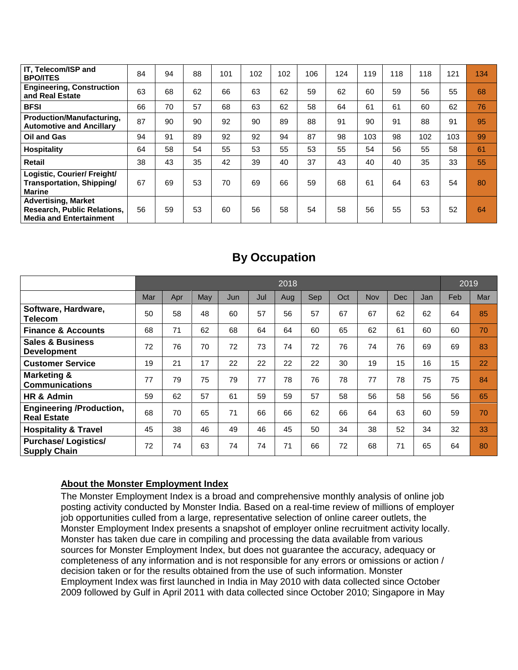| IT, Telecom/ISP and<br><b>BPO/ITES</b>                                                             | 84 | 94 | 88 | 101 | 102 | 102 | 106 | 124 | 119 | 118 | 118 | 121 | 134 |
|----------------------------------------------------------------------------------------------------|----|----|----|-----|-----|-----|-----|-----|-----|-----|-----|-----|-----|
| <b>Engineering, Construction</b><br>and Real Estate                                                | 63 | 68 | 62 | 66  | 63  | 62  | 59  | 62  | 60  | 59  | 56  | 55  | 68  |
| <b>BFSI</b>                                                                                        | 66 | 70 | 57 | 68  | 63  | 62  | 58  | 64  | 61  | 61  | 60  | 62  | 76  |
| Production/Manufacturing,<br><b>Automotive and Ancillary</b>                                       | 87 | 90 | 90 | 92  | 90  | 89  | 88  | 91  | 90  | 91  | 88  | 91  | 95  |
| <b>Oil and Gas</b>                                                                                 | 94 | 91 | 89 | 92  | 92  | 94  | 87  | 98  | 103 | 98  | 102 | 103 | 99  |
| <b>Hospitality</b>                                                                                 | 64 | 58 | 54 | 55  | 53  | 55  | 53  | 55  | 54  | 56  | 55  | 58  | 61  |
| <b>Retail</b>                                                                                      | 38 | 43 | 35 | 42  | 39  | 40  | 37  | 43  | 40  | 40  | 35  | 33  | 55  |
| Logistic, Courier/ Freight/<br>Transportation, Shipping/<br><b>Marine</b>                          | 67 | 69 | 53 | 70  | 69  | 66  | 59  | 68  | 61  | 64  | 63  | 54  | 80  |
| <b>Advertising, Market</b><br><b>Research, Public Relations,</b><br><b>Media and Entertainment</b> | 56 | 59 | 53 | 60  | 56  | 58  | 54  | 58  | 56  | 55  | 53  | 52  | 64  |

## **By Occupation**

|                                                       | 2018 |     |     |     |     |     |     |     |     |     |     | 2019 |     |
|-------------------------------------------------------|------|-----|-----|-----|-----|-----|-----|-----|-----|-----|-----|------|-----|
|                                                       | Mar  | Apr | May | Jun | Jul | Aug | Sep | Oct | Nov | Dec | Jan | Feb  | Mar |
| Software, Hardware,<br>Telecom                        | 50   | 58  | 48  | 60  | 57  | 56  | 57  | 67  | 67  | 62  | 62  | 64   | 85  |
| <b>Finance &amp; Accounts</b>                         | 68   | 71  | 62  | 68  | 64  | 64  | 60  | 65  | 62  | 61  | 60  | 60   | 70  |
| <b>Sales &amp; Business</b><br><b>Development</b>     | 72   | 76  | 70  | 72  | 73  | 74  | 72  | 76  | 74  | 76  | 69  | 69   | 83  |
| <b>Customer Service</b>                               | 19   | 21  | 17  | 22  | 22  | 22  | 22  | 30  | 19  | 15  | 16  | 15   | 22  |
| <b>Marketing &amp;</b><br>Communications              | 77   | 79  | 75  | 79  | 77  | 78  | 76  | 78  | 77  | 78  | 75  | 75   | 84  |
| HR & Admin                                            | 59   | 62  | 57  | 61  | 59  | 59  | 57  | 58  | 56  | 58  | 56  | 56   | 65  |
| <b>Engineering /Production,</b><br><b>Real Estate</b> | 68   | 70  | 65  | 71  | 66  | 66  | 62  | 66  | 64  | 63  | 60  | 59   | 70  |
| <b>Hospitality &amp; Travel</b>                       | 45   | 38  | 46  | 49  | 46  | 45  | 50  | 34  | 38  | 52  | 34  | 32   | 33  |
| <b>Purchase/Logistics/</b><br><b>Supply Chain</b>     | 72   | 74  | 63  | 74  | 74  | 71  | 66  | 72  | 68  | 71  | 65  | 64   | 80  |

## **About the Monster Employment Index**

The Monster Employment Index is a broad and comprehensive monthly analysis of online job posting activity conducted by Monster India. Based on a real-time review of millions of employer job opportunities culled from a large, representative selection of online career outlets, the Monster Employment Index presents a snapshot of employer online recruitment activity locally. Monster has taken due care in compiling and processing the data available from various sources for Monster Employment Index, but does not guarantee the accuracy, adequacy or completeness of any information and is not responsible for any errors or omissions or action / decision taken or for the results obtained from the use of such information. Monster Employment Index was first launched in India in May 2010 with data collected since October 2009 followed by Gulf in April 2011 with data collected since October 2010; Singapore in May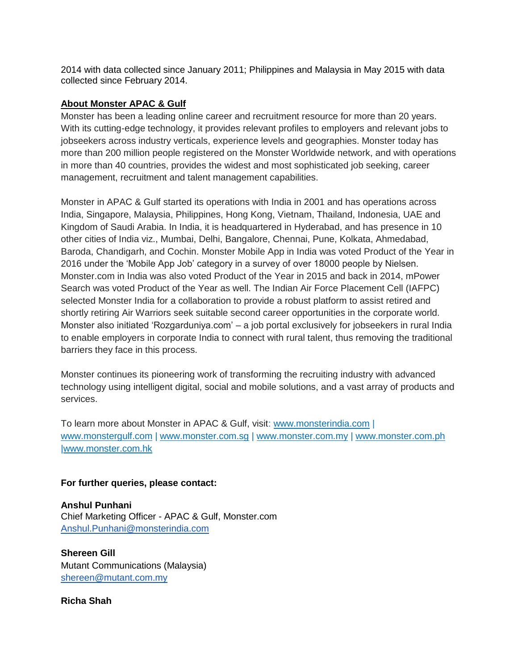2014 with data collected since January 2011; Philippines and Malaysia in May 2015 with data collected since February 2014.

### **About Monster APAC & Gulf**

Monster has been a leading online career and recruitment resource for more than 20 years. With its cutting-edge technology, it provides relevant profiles to employers and relevant jobs to jobseekers across industry verticals, experience levels and geographies. Monster today has more than 200 million people registered on the Monster Worldwide network, and with operations in more than 40 countries, provides the widest and most sophisticated job seeking, career management, recruitment and talent management capabilities.

Monster in APAC & Gulf started its operations with India in 2001 and has operations across India, Singapore, Malaysia, Philippines, Hong Kong, Vietnam, Thailand, Indonesia, UAE and Kingdom of Saudi Arabia. In India, it is headquartered in Hyderabad, and has presence in 10 other cities of India viz., Mumbai, Delhi, Bangalore, Chennai, Pune, Kolkata, Ahmedabad, Baroda, Chandigarh, and Cochin. Monster Mobile App in India was voted Product of the Year in 2016 under the 'Mobile App Job' category in a survey of over 18000 people by Nielsen. Monster.com in India was also voted Product of the Year in 2015 and back in 2014, mPower Search was voted Product of the Year as well. The Indian Air Force Placement Cell (IAFPC) selected Monster India for a collaboration to provide a robust platform to assist retired and shortly retiring Air Warriors seek suitable second career opportunities in the corporate world. Monster also initiated 'Rozgarduniya.com' – a job portal exclusively for jobseekers in rural India to enable employers in corporate India to connect with rural talent, thus removing the traditional barriers they face in this process.

Monster continues its pioneering work of transforming the recruiting industry with advanced technology using intelligent digital, social and mobile solutions, and a vast array of products and services.

To learn more about Monster in APAC & Gulf, visit: [www.monsterindia.com](http://www.monsterindia.com/) | [www.monstergulf.com](http://www.monstergulf.com/) | [www.monster.com.sg](http://www.monster.com.sg/) | [www.monster.com.my](http://www.monster.com.my/) | [www.monster.com.ph](http://www.monster.com.ph/) [|www.monster.com.hk](http://www.monster.com.hk/)

### **For further queries, please contact:**

**Anshul Punhani**  Chief Marketing Officer - APAC & Gulf, Monster.com [Anshul.Punhani@monsterindia.com](mailto:Anshul.Punhani@monsterindia.com)

**Shereen Gill** Mutant Communications (Malaysia) [shereen@mutant.com.my](mailto:shereen@mutant.com.my)

**Richa Shah**